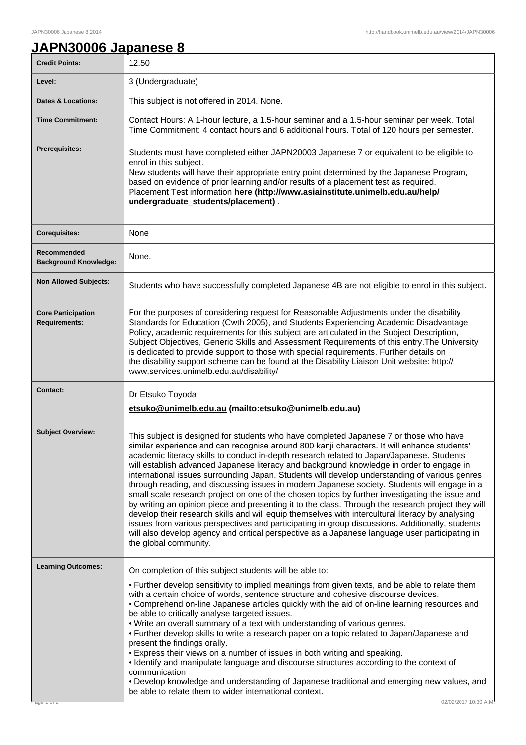٦

## **JAPN30006 Japanese 8**

| <b>Credit Points:</b>                             | 12.50                                                                                                                                                                                                                                                                                                                                                                                                                                                                                                                                                                                                                                                                                                                                                                                                                                                                                                                                                                                                                                                                                                                     |
|---------------------------------------------------|---------------------------------------------------------------------------------------------------------------------------------------------------------------------------------------------------------------------------------------------------------------------------------------------------------------------------------------------------------------------------------------------------------------------------------------------------------------------------------------------------------------------------------------------------------------------------------------------------------------------------------------------------------------------------------------------------------------------------------------------------------------------------------------------------------------------------------------------------------------------------------------------------------------------------------------------------------------------------------------------------------------------------------------------------------------------------------------------------------------------------|
| Level:                                            | 3 (Undergraduate)                                                                                                                                                                                                                                                                                                                                                                                                                                                                                                                                                                                                                                                                                                                                                                                                                                                                                                                                                                                                                                                                                                         |
| <b>Dates &amp; Locations:</b>                     | This subject is not offered in 2014. None.                                                                                                                                                                                                                                                                                                                                                                                                                                                                                                                                                                                                                                                                                                                                                                                                                                                                                                                                                                                                                                                                                |
| <b>Time Commitment:</b>                           | Contact Hours: A 1-hour lecture, a 1.5-hour seminar and a 1.5-hour seminar per week. Total<br>Time Commitment: 4 contact hours and 6 additional hours. Total of 120 hours per semester.                                                                                                                                                                                                                                                                                                                                                                                                                                                                                                                                                                                                                                                                                                                                                                                                                                                                                                                                   |
| <b>Prerequisites:</b>                             | Students must have completed either JAPN20003 Japanese 7 or equivalent to be eligible to<br>enrol in this subject.<br>New students will have their appropriate entry point determined by the Japanese Program,<br>based on evidence of prior learning and/or results of a placement test as required.<br>Placement Test information here (http://www.asiainstitute.unimelb.edu.au/help/<br>undergraduate_students/placement).                                                                                                                                                                                                                                                                                                                                                                                                                                                                                                                                                                                                                                                                                             |
| <b>Corequisites:</b>                              | None                                                                                                                                                                                                                                                                                                                                                                                                                                                                                                                                                                                                                                                                                                                                                                                                                                                                                                                                                                                                                                                                                                                      |
| Recommended<br><b>Background Knowledge:</b>       | None.                                                                                                                                                                                                                                                                                                                                                                                                                                                                                                                                                                                                                                                                                                                                                                                                                                                                                                                                                                                                                                                                                                                     |
| <b>Non Allowed Subjects:</b>                      | Students who have successfully completed Japanese 4B are not eligible to enrol in this subject.                                                                                                                                                                                                                                                                                                                                                                                                                                                                                                                                                                                                                                                                                                                                                                                                                                                                                                                                                                                                                           |
| <b>Core Participation</b><br><b>Requirements:</b> | For the purposes of considering request for Reasonable Adjustments under the disability<br>Standards for Education (Cwth 2005), and Students Experiencing Academic Disadvantage<br>Policy, academic requirements for this subject are articulated in the Subject Description,<br>Subject Objectives, Generic Skills and Assessment Requirements of this entry. The University<br>is dedicated to provide support to those with special requirements. Further details on<br>the disability support scheme can be found at the Disability Liaison Unit website: http://<br>www.services.unimelb.edu.au/disability/                                                                                                                                                                                                                                                                                                                                                                                                                                                                                                          |
| <b>Contact:</b>                                   | Dr Etsuko Toyoda<br>etsuko@unimelb.edu.au (mailto:etsuko@unimelb.edu.au)                                                                                                                                                                                                                                                                                                                                                                                                                                                                                                                                                                                                                                                                                                                                                                                                                                                                                                                                                                                                                                                  |
| <b>Subject Overview:</b>                          | This subject is designed for students who have completed Japanese 7 or those who have<br>similar experience and can recognise around 800 kanji characters. It will enhance students'<br>academic literacy skills to conduct in-depth research related to Japan/Japanese. Students<br>will establish advanced Japanese literacy and background knowledge in order to engage in<br>international issues surrounding Japan. Students will develop understanding of various genres<br>through reading, and discussing issues in modern Japanese society. Students will engage in a<br>small scale research project on one of the chosen topics by further investigating the issue and<br>by writing an opinion piece and presenting it to the class. Through the research project they will<br>develop their research skills and will equip themselves with intercultural literacy by analysing<br>issues from various perspectives and participating in group discussions. Additionally, students<br>will also develop agency and critical perspective as a Japanese language user participating in<br>the global community. |
| <b>Learning Outcomes:</b><br>age Torz             | On completion of this subject students will be able to:<br>• Further develop sensitivity to implied meanings from given texts, and be able to relate them<br>with a certain choice of words, sentence structure and cohesive discourse devices.<br>• Comprehend on-line Japanese articles quickly with the aid of on-line learning resources and<br>be able to critically analyse targeted issues.<br>. Write an overall summary of a text with understanding of various genres.<br>• Further develop skills to write a research paper on a topic related to Japan/Japanese and<br>present the findings orally.<br>• Express their views on a number of issues in both writing and speaking.<br>• Identify and manipulate language and discourse structures according to the context of<br>communication<br>• Develop knowledge and understanding of Japanese traditional and emerging new values, and<br>be able to relate them to wider international context.<br>02/02/2017 10:30 A.M.                                                                                                                                 |